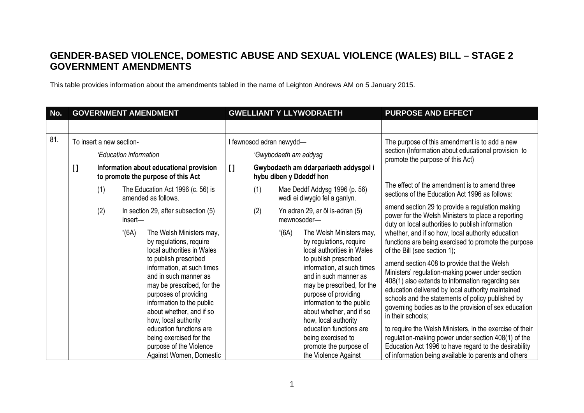## **GENDER-BASED VIOLENCE, DOMESTIC ABUSE AND SEXUAL VIOLENCE (WALES) BILL – STAGE 2 GOVERNMENT AMENDMENTS**

This table provides information about the amendments tabled in the name of Leighton Andrews AM on 5 January 2015.

| No. | <b>GOVERNMENT AMENDMENT</b> |                                                                               |                                                                 |                                                                                                                                                                                                                                                                                                                                                                                                                       | <b>GWELLIANT Y LLYWODRAETH</b>                                                   |                          |       |                                                                                                                                                                                                                                                                                                                                                                                                             | <b>PURPOSE AND EFFECT</b>                                                                                                                                                                                                                                                                                                                                                                                                                                                                                                                                                                                                                                                                                                                                                        |
|-----|-----------------------------|-------------------------------------------------------------------------------|-----------------------------------------------------------------|-----------------------------------------------------------------------------------------------------------------------------------------------------------------------------------------------------------------------------------------------------------------------------------------------------------------------------------------------------------------------------------------------------------------------|----------------------------------------------------------------------------------|--------------------------|-------|-------------------------------------------------------------------------------------------------------------------------------------------------------------------------------------------------------------------------------------------------------------------------------------------------------------------------------------------------------------------------------------------------------------|----------------------------------------------------------------------------------------------------------------------------------------------------------------------------------------------------------------------------------------------------------------------------------------------------------------------------------------------------------------------------------------------------------------------------------------------------------------------------------------------------------------------------------------------------------------------------------------------------------------------------------------------------------------------------------------------------------------------------------------------------------------------------------|
|     |                             |                                                                               |                                                                 |                                                                                                                                                                                                                                                                                                                                                                                                                       |                                                                                  |                          |       |                                                                                                                                                                                                                                                                                                                                                                                                             |                                                                                                                                                                                                                                                                                                                                                                                                                                                                                                                                                                                                                                                                                                                                                                                  |
| 81. |                             | To insert a new section-                                                      |                                                                 |                                                                                                                                                                                                                                                                                                                                                                                                                       |                                                                                  | I fewnosod adran newydd- |       |                                                                                                                                                                                                                                                                                                                                                                                                             | The purpose of this amendment is to add a new                                                                                                                                                                                                                                                                                                                                                                                                                                                                                                                                                                                                                                                                                                                                    |
|     |                             | 'Education information                                                        |                                                                 |                                                                                                                                                                                                                                                                                                                                                                                                                       | 'Gwybodaeth am addysg                                                            |                          |       |                                                                                                                                                                                                                                                                                                                                                                                                             | section (Information about educational provision to<br>promote the purpose of this Act)                                                                                                                                                                                                                                                                                                                                                                                                                                                                                                                                                                                                                                                                                          |
|     | $\mathbf{I}$                | Information about educational provision<br>to promote the purpose of this Act |                                                                 |                                                                                                                                                                                                                                                                                                                                                                                                                       | $\mathbf{I}$<br>Gwybodaeth am ddarpariaeth addysgol i<br>hybu diben y Ddeddf hon |                          |       |                                                                                                                                                                                                                                                                                                                                                                                                             |                                                                                                                                                                                                                                                                                                                                                                                                                                                                                                                                                                                                                                                                                                                                                                                  |
|     |                             |                                                                               | (1)<br>The Education Act 1996 (c. 56) is<br>amended as follows. |                                                                                                                                                                                                                                                                                                                                                                                                                       |                                                                                  | (1)                      |       | Mae Deddf Addysg 1996 (p. 56)<br>wedi ei diwygio fel a ganlyn.                                                                                                                                                                                                                                                                                                                                              | The effect of the amendment is to amend three<br>sections of the Education Act 1996 as follows:                                                                                                                                                                                                                                                                                                                                                                                                                                                                                                                                                                                                                                                                                  |
|     |                             | (2)                                                                           | insert-                                                         | In section 29, after subsection (5)                                                                                                                                                                                                                                                                                                                                                                                   |                                                                                  | (2)                      |       | Yn adran 29, ar ôl is-adran (5)<br>mewnosoder-                                                                                                                                                                                                                                                                                                                                                              | amend section 29 to provide a regulation making<br>power for the Welsh Ministers to place a reporting                                                                                                                                                                                                                                                                                                                                                                                                                                                                                                                                                                                                                                                                            |
|     |                             |                                                                               | " $(6A)$                                                        | The Welsh Ministers may,<br>by regulations, require<br>local authorities in Wales<br>to publish prescribed<br>information, at such times<br>and in such manner as<br>may be prescribed, for the<br>purposes of providing<br>information to the public<br>about whether, and if so<br>how, local authority<br>education functions are<br>being exercised for the<br>purpose of the Violence<br>Against Women, Domestic |                                                                                  |                          | "(6A) | The Welsh Ministers may,<br>by regulations, require<br>local authorities in Wales<br>to publish prescribed<br>information, at such times<br>and in such manner as<br>may be prescribed, for the<br>purpose of providing<br>information to the public<br>about whether, and if so<br>how, local authority<br>education functions are<br>being exercised to<br>promote the purpose of<br>the Violence Against | duty on local authorities to publish information<br>whether, and if so how, local authority education<br>functions are being exercised to promote the purpose<br>of the Bill (see section 1);<br>amend section 408 to provide that the Welsh<br>Ministers' regulation-making power under section<br>408(1) also extends to information regarding sex<br>education delivered by local authority maintained<br>schools and the statements of policy published by<br>governing bodies as to the provision of sex education<br>in their schools;<br>to require the Welsh Ministers, in the exercise of their<br>regulation-making power under section 408(1) of the<br>Education Act 1996 to have regard to the desirability<br>of information being available to parents and others |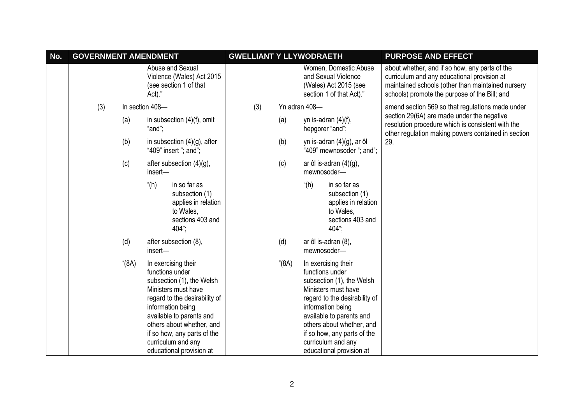| No. | <b>GOVERNMENT AMENDMENT</b> | <b>GWELLIANT Y LLYWODRAETH</b> |                                                                                                                                                                                                                                                                                            |     |     | <b>PURPOSE AND EFFECT</b> |                                                                                                                                                                                                                                                                                            |                                                                                                                                                                                                     |
|-----|-----------------------------|--------------------------------|--------------------------------------------------------------------------------------------------------------------------------------------------------------------------------------------------------------------------------------------------------------------------------------------|-----|-----|---------------------------|--------------------------------------------------------------------------------------------------------------------------------------------------------------------------------------------------------------------------------------------------------------------------------------------|-----------------------------------------------------------------------------------------------------------------------------------------------------------------------------------------------------|
|     |                             |                                | Abuse and Sexual<br>Violence (Wales) Act 2015<br>(see section 1 of that<br>Act)."                                                                                                                                                                                                          |     |     |                           | Women, Domestic Abuse<br>and Sexual Violence<br>(Wales) Act 2015 (see<br>section 1 of that Act)."                                                                                                                                                                                          | about whether, and if so how, any parts of the<br>curriculum and any educational provision at<br>maintained schools (other than maintained nursery<br>schools) promote the purpose of the Bill; and |
|     | (3)                         |                                | In section 408-                                                                                                                                                                                                                                                                            | (3) |     |                           | Yn adran 408-                                                                                                                                                                                                                                                                              | amend section 569 so that regulations made under                                                                                                                                                    |
|     |                             | (a)                            | in subsection $(4)(f)$ , omit<br>"and";                                                                                                                                                                                                                                                    |     | (a) |                           | yn is-adran $(4)(f)$ ,<br>hepgorer "and";                                                                                                                                                                                                                                                  | section 29(6A) are made under the negative<br>resolution procedure which is consistent with the<br>other regulation making powers contained in section                                              |
|     |                             | (b)                            | in subsection $(4)(g)$ , after<br>"409" insert "; and";                                                                                                                                                                                                                                    |     |     | (b)                       | yn is-adran (4)(g), ar ôl<br>"409" mewnosoder "; and";                                                                                                                                                                                                                                     | 29.                                                                                                                                                                                                 |
|     |                             | (c)                            | after subsection (4)(g),<br>insert-                                                                                                                                                                                                                                                        |     |     | (c)                       | ar ôl is-adran $(4)(g)$ ,<br>mewnosoder-                                                                                                                                                                                                                                                   |                                                                                                                                                                                                     |
|     |                             |                                | " $(h)$<br>in so far as<br>subsection (1)<br>applies in relation<br>to Wales,<br>sections 403 and<br>404";                                                                                                                                                                                 |     |     |                           | " $(h)$<br>in so far as<br>subsection (1)<br>applies in relation<br>to Wales,<br>sections 403 and<br>$404$ ";                                                                                                                                                                              |                                                                                                                                                                                                     |
|     |                             | (d)                            | after subsection (8),<br>insert-                                                                                                                                                                                                                                                           |     |     | (d)                       | ar ôl is-adran (8),<br>mewnosoder-                                                                                                                                                                                                                                                         |                                                                                                                                                                                                     |
|     |                             | " $(8A)$                       | In exercising their<br>functions under<br>subsection (1), the Welsh<br>Ministers must have<br>regard to the desirability of<br>information being<br>available to parents and<br>others about whether, and<br>if so how, any parts of the<br>curriculum and any<br>educational provision at |     |     | " $(8A)$                  | In exercising their<br>functions under<br>subsection (1), the Welsh<br>Ministers must have<br>regard to the desirability of<br>information being<br>available to parents and<br>others about whether, and<br>if so how, any parts of the<br>curriculum and any<br>educational provision at |                                                                                                                                                                                                     |